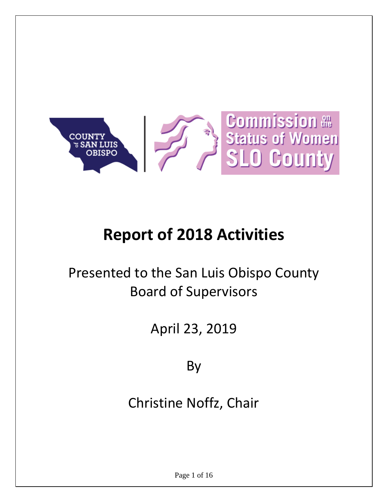

# **Report of 2018 Activities**

# Presented to the San Luis Obispo County Board of Supervisors

# April 23, 2019

By

Christine Noffz, Chair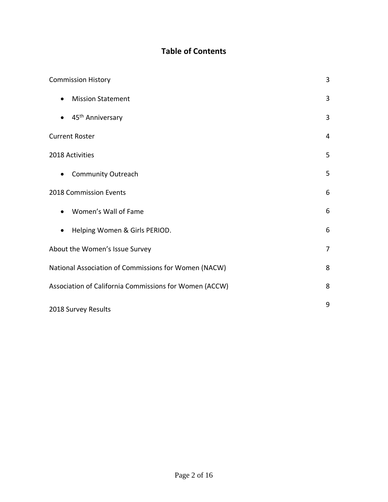### **Table of Contents**

| <b>Commission History</b>                              | 3              |
|--------------------------------------------------------|----------------|
| <b>Mission Statement</b><br>$\bullet$                  | 3              |
| 45 <sup>th</sup> Anniversary                           | 3              |
| <b>Current Roster</b>                                  | 4              |
| 2018 Activities                                        | 5              |
| <b>Community Outreach</b><br>$\bullet$                 | 5              |
| 2018 Commission Events                                 | 6              |
| Women's Wall of Fame                                   | 6              |
| Helping Women & Girls PERIOD.<br>$\bullet$             | 6              |
| About the Women's Issue Survey                         | $\overline{7}$ |
| National Association of Commissions for Women (NACW)   | 8              |
| Association of California Commissions for Women (ACCW) | 8              |
| 2018 Survey Results                                    | 9              |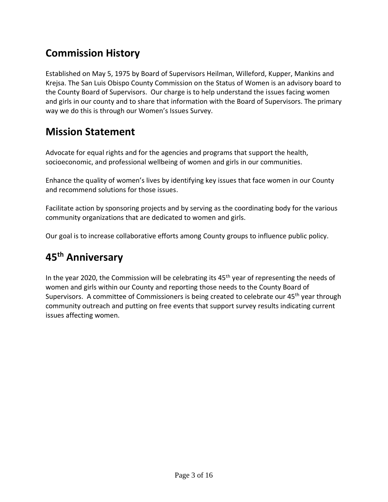## **Commission History**

Established on May 5, 1975 by Board of Supervisors Heilman, Willeford, Kupper, Mankins and Krejsa. The San Luis Obispo County Commission on the Status of Women is an advisory board to the County Board of Supervisors. Our charge is to help understand the issues facing women and girls in our county and to share that information with the Board of Supervisors. The primary way we do this is through our Women's Issues Survey.

### **Mission Statement**

Advocate for equal rights and for the agencies and programs that support the health, socioeconomic, and professional wellbeing of women and girls in our communities.

Enhance the quality of women's lives by identifying key issues that face women in our County and recommend solutions for those issues.

Facilitate action by sponsoring projects and by serving as the coordinating body for the various community organizations that are dedicated to women and girls.

Our goal is to increase collaborative efforts among County groups to influence public policy.

## **45th Anniversary**

In the year 2020, the Commission will be celebrating its  $45<sup>th</sup>$  year of representing the needs of women and girls within our County and reporting those needs to the County Board of Supervisors. A committee of Commissioners is being created to celebrate our 45<sup>th</sup> year through community outreach and putting on free events that support survey results indicating current issues affecting women.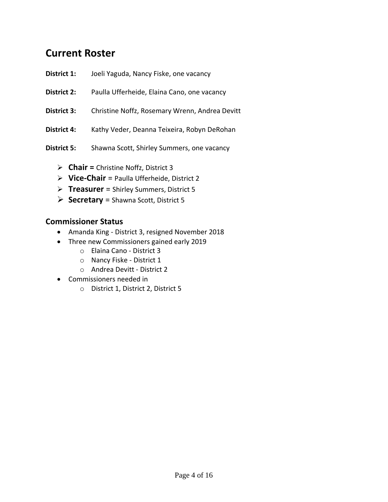### **Current Roster**

- **District 1:** Joeli Yaguda, Nancy Fiske, one vacancy
- **District 2:** Paulla Ufferheide, Elaina Cano, one vacancy
- **District 3:** Christine Noffz, Rosemary Wrenn, Andrea Devitt
- District 4: Kathy Veder, Deanna Teixeira, Robyn DeRohan
- **District 5:** Shawna Scott, Shirley Summers, one vacancy
	- ➢ **Chair =** Christine Noffz, District 3
	- ➢ **Vice-Chair** = Paulla Ufferheide, District 2
	- ➢ **Treasurer** = Shirley Summers, District 5
	- ➢ **Secretary** = Shawna Scott, District 5

### **Commissioner Status**

- Amanda King District 3, resigned November 2018
- Three new Commissioners gained early 2019
	- o Elaina Cano District 3
	- o Nancy Fiske District 1
	- o Andrea Devitt District 2
- Commissioners needed in
	- o District 1, District 2, District 5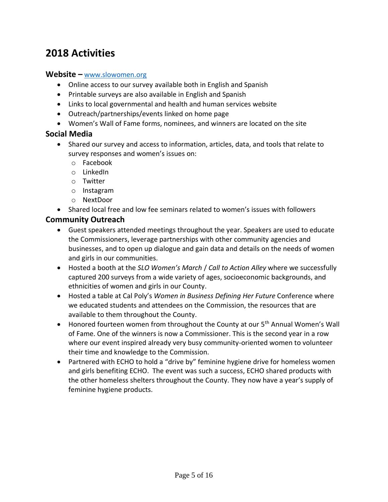### **2018 Activities**

#### **Website –** [www.slowomen.org](http://www.slowomen.org/)

- Online access to our survey available both in English and Spanish
- Printable surveys are also available in English and Spanish
- Links to local governmental and health and human services website
- Outreach/partnerships/events linked on home page
- Women's Wall of Fame forms, nominees, and winners are located on the site

#### **Social Media**

- Shared our survey and access to information, articles, data, and tools that relate to survey responses and women's issues on:
	- o Facebook
	- o LinkedIn
	- o Twitter
	- o Instagram
	- o NextDoor
- Shared local free and low fee seminars related to women's issues with followers

### **Community Outreach**

- Guest speakers attended meetings throughout the year. Speakers are used to educate the Commissioners, leverage partnerships with other community agencies and businesses, and to open up dialogue and gain data and details on the needs of women and girls in our communities.
- Hosted a booth at the *SLO Women's March* / *Call to Action Alley* where we successfully captured 200 surveys from a wide variety of ages, socioeconomic backgrounds, and ethnicities of women and girls in our County.
- Hosted a table at Cal Poly's *Women in Business Defining Her Future* Conference where we educated students and attendees on the Commission, the resources that are available to them throughout the County.
- Honored fourteen women from throughout the County at our 5<sup>th</sup> Annual Women's Wall of Fame. One of the winners is now a Commissioner. This is the second year in a row where our event inspired already very busy community-oriented women to volunteer their time and knowledge to the Commission.
- Partnered with ECHO to hold a "drive by" feminine hygiene drive for homeless women and girls benefiting ECHO. The event was such a success, ECHO shared products with the other homeless shelters throughout the County. They now have a year's supply of feminine hygiene products.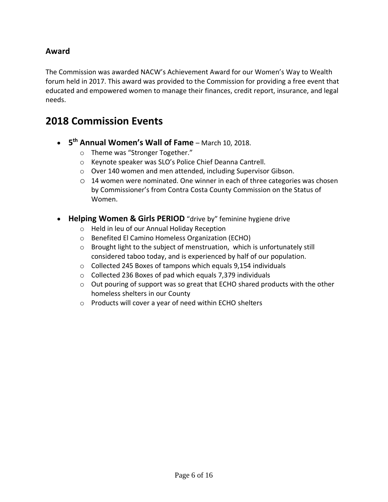### **Award**

The Commission was awarded NACW's Achievement Award for our Women's Way to Wealth forum held in 2017. This award was provided to the Commission for providing a free event that educated and empowered women to manage their finances, credit report, insurance, and legal needs.

### **2018 Commission Events**

- **5 th Annual Women's Wall of Fame** March 10, 2018.
	- o Theme was "Stronger Together."
	- o Keynote speaker was SLO's Police Chief Deanna Cantrell.
	- o Over 140 women and men attended, including Supervisor Gibson.
	- $\circ$  14 women were nominated. One winner in each of three categories was chosen by Commissioner's from Contra Costa County Commission on the Status of Women.
- **Helping Women & Girls PERIOD** "drive by" feminine hygiene drive
	- o Held in leu of our Annual Holiday Reception
	- o Benefited El Camino Homeless Organization (ECHO)
	- o Brought light to the subject of menstruation, which is unfortunately still considered taboo today, and is experienced by half of our population.
	- o Collected 245 Boxes of tampons which equals 9,154 individuals
	- o Collected 236 Boxes of pad which equals 7,379 individuals
	- $\circ$  Out pouring of support was so great that ECHO shared products with the other homeless shelters in our County
	- o Products will cover a year of need within ECHO shelters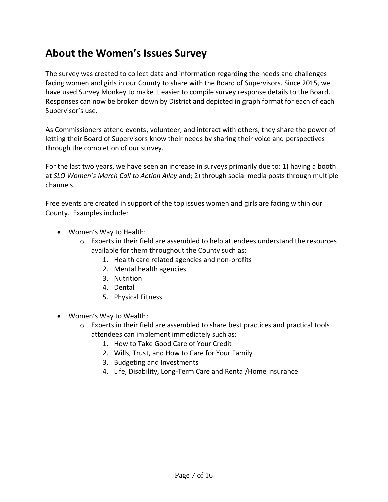### **About the Women's Issues Survey**

The survey was created to collect data and information regarding the needs and challenges facing women and girls in our County to share with the Board of Supervisors. Since 2015, we have used Survey Monkey to make it easier to compile survey response details to the Board. Responses can now be broken down by District and depicted in graph format for each of each Supervisor's use.

As Commissioners attend events, volunteer, and interact with others, they share the power of letting their Board of Supervisors know their needs by sharing their voice and perspectives through the completion of our survey.

For the last two years, we have seen an increase in surveys primarily due to: 1) having a booth at *SLO Women's March Call to Action Alley* and; 2) through social media posts through multiple channels.

Free events are created in support of the top issues women and girls are facing within our County. Examples include:

- Women's Way to Health:
	- $\circ$  Experts in their field are assembled to help attendees understand the resources available for them throughout the County such as:
		- 1. Health care related agencies and non-profits
		- 2. Mental health agencies
		- 3. Nutrition
		- 4. Dental
		- 5. Physical Fitness
- Women's Way to Wealth:
	- $\circ$  Experts in their field are assembled to share best practices and practical tools attendees can implement immediately such as:
		- 1. How to Take Good Care of Your Credit
		- 2. Wills, Trust, and How to Care for Your Family
		- 3. Budgeting and Investments
		- 4. Life, Disability, Long-Term Care and Rental/Home Insurance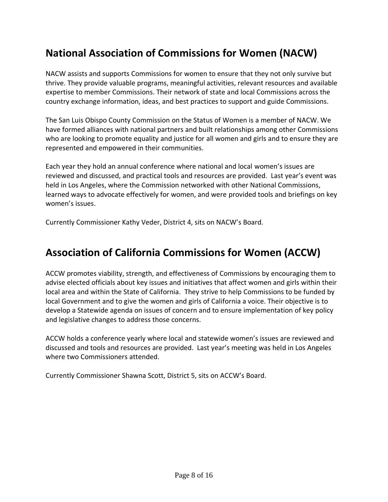## **National Association of Commissions for Women (NACW)**

NACW assists and supports Commissions for women to ensure that they not only survive but thrive. They provide valuable programs, meaningful activities, relevant resources and available expertise to member Commissions. Their network of state and local Commissions across the country exchange information, ideas, and best practices to support and guide Commissions.

The San Luis Obispo County Commission on the Status of Women is a member of NACW. We have formed alliances with national partners and built relationships among other Commissions who are looking to promote equality and justice for all women and girls and to ensure they are represented and empowered in their communities.

Each year they hold an annual conference where national and local women's issues are reviewed and discussed, and practical tools and resources are provided. Last year's event was held in Los Angeles, where the Commission networked with other National Commissions, learned ways to advocate effectively for women, and were provided tools and briefings on key women's issues.

Currently Commissioner Kathy Veder, District 4, sits on NACW's Board.

### **Association of California Commissions for Women (ACCW)**

ACCW promotes viability, strength, and effectiveness of Commissions by encouraging them to advise elected officials about key issues and initiatives that affect women and girls within their local area and within the State of California. They strive to help Commissions to be funded by local Government and to give the women and girls of California a voice. Their objective is to develop a Statewide agenda on issues of concern and to ensure implementation of key policy and legislative changes to address those concerns.

ACCW holds a conference yearly where local and statewide women's issues are reviewed and discussed and tools and resources are provided. Last year's meeting was held in Los Angeles where two Commissioners attended.

Currently Commissioner Shawna Scott, District 5, sits on ACCW's Board.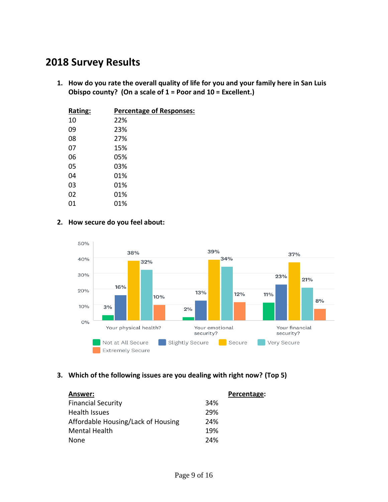### **2018 Survey Results**

**1. How do you rate the overall quality of life for you and your family here in San Luis Obispo county? (On a scale of 1 = Poor and 10 = Excellent.)**

| Rating: | <b>Percentage of Responses:</b> |
|---------|---------------------------------|
| 10      | 22%                             |
| 09      | 23%                             |
| 08      | 27%                             |
| 07      | 15%                             |
| 06      | 05%                             |
| 05      | 03%                             |
| 04      | 01%                             |
| 03      | 01%                             |
| 02      | 01%                             |
| 01      | 01%                             |

#### **2. How secure do you feel about:**



### **3. Which of the following issues are you dealing with right now? (Top 5)**

| Answer:                            |     | Percentage: |
|------------------------------------|-----|-------------|
| <b>Financial Security</b>          | 34% |             |
| <b>Health Issues</b>               | 29% |             |
| Affordable Housing/Lack of Housing | 24% |             |
| <b>Mental Health</b>               | 19% |             |
| <b>None</b>                        | 24% |             |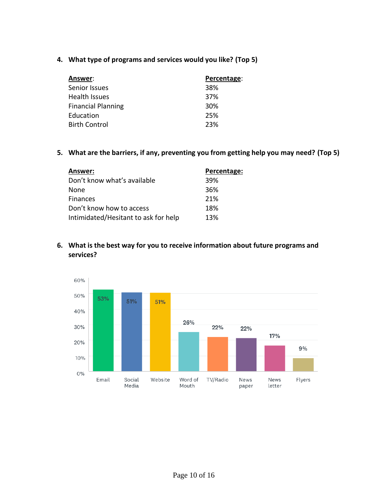**4. What type of programs and services would you like? (Top 5)**

| Answer:                   | Percentage: |
|---------------------------|-------------|
| Senior Issues             | 38%         |
| <b>Health Issues</b>      | 37%         |
| <b>Financial Planning</b> | 30%         |
| Education                 | 25%         |
| <b>Birth Control</b>      | 23%         |

**5. What are the barriers, if any, preventing you from getting help you may need? (Top 5)**

| Answer:                              | Percentage: |
|--------------------------------------|-------------|
| Don't know what's available          | 39%         |
| <b>None</b>                          | 36%         |
| <b>Finances</b>                      | 21%         |
| Don't know how to access             | 18%         |
| Intimidated/Hesitant to ask for help | 13%         |

### **6. What is the best way for you to receive information about future programs and services?**

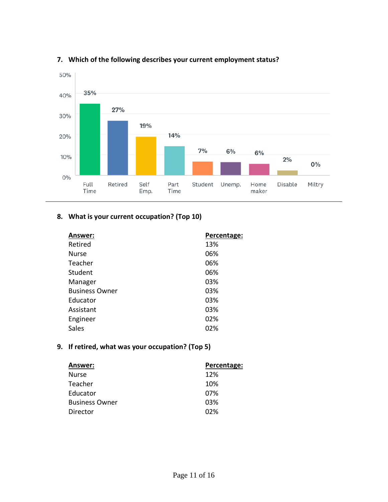

### **7. Which of the following describes your current employment status?**

### **8. What is your current occupation? (Top 10)**

| Retired<br>13%<br>06%<br><b>Nurse</b> | Percentage: |
|---------------------------------------|-------------|
|                                       |             |
|                                       |             |
| 06%<br>Teacher                        |             |
| Student<br>06%                        |             |
| 03%<br>Manager                        |             |
| <b>Business Owner</b><br>03%          |             |
| 03%<br>Educator                       |             |
| 03%<br>Assistant                      |             |
| 02%<br>Engineer                       |             |
| Sales<br>02%                          |             |

### **9. If retired, what was your occupation? (Top 5)**

| Answer:               | Percentage: |
|-----------------------|-------------|
| <b>Nurse</b>          | 12%         |
| Teacher               | 10%         |
| Educator              | 07%         |
| <b>Business Owner</b> | 03%         |
| Director              | 02%         |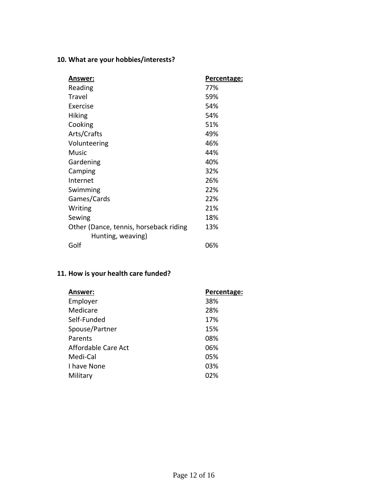### **10. What are your hobbies/interests?**

| Answer:                                | Percentage: |
|----------------------------------------|-------------|
| Reading                                | 77%         |
| Travel                                 | 59%         |
| Exercise                               | 54%         |
| <b>Hiking</b>                          | 54%         |
| Cooking                                | 51%         |
| Arts/Crafts                            | 49%         |
| Volunteering                           | 46%         |
| Music                                  | 44%         |
| Gardening                              | 40%         |
| Camping                                | 32%         |
| Internet                               | 26%         |
| Swimming                               | 22%         |
| Games/Cards                            | 22%         |
| Writing                                | 21%         |
| Sewing                                 | 18%         |
| Other (Dance, tennis, horseback riding | 13%         |
| Hunting, weaving)                      |             |
| Golf                                   | 06%         |

### **11. How is your health care funded?**

| Answer:             | Percentage: |
|---------------------|-------------|
| Employer            | 38%         |
| Medicare            | 28%         |
| Self-Funded         | 17%         |
| Spouse/Partner      | 15%         |
| Parents             | 08%         |
| Affordable Care Act | 06%         |
| Medi-Cal            | 05%         |
| I have None         | 03%         |
| Military            | 02%         |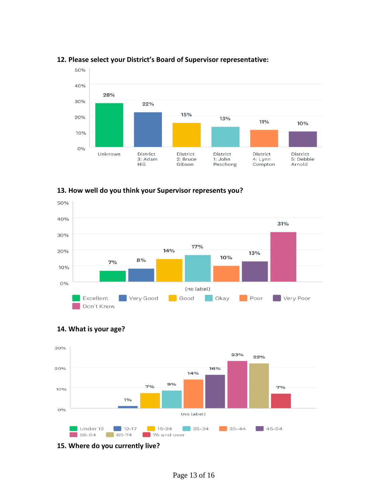

#### **12. Please select your District's Board of Supervisor representative:**

**13. How well do you think your Supervisor represents you?**







**15. Where do you currently live?**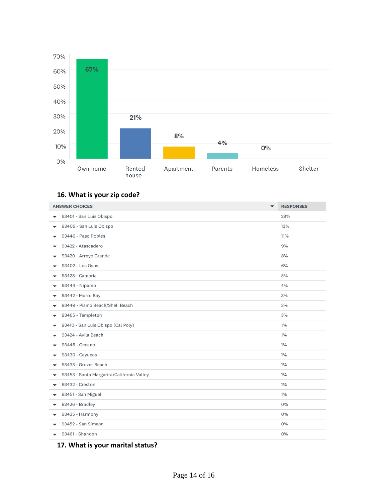

### **16. What is your zip code?**

| <b>ANSWER CHOICES</b>                                                 | <b>RESPONSES</b> |
|-----------------------------------------------------------------------|------------------|
| 93401 - San Luis Obispo                                               | 28%              |
| 93405 - San Luis Obispo<br>$\overline{\phantom{a}}$                   | 13%              |
| 93446 - Paso Robles<br>$\overline{\phantom{a}}$                       | $11\%$           |
| 93422 - Atascadero<br>$\blacktriangledown$                            | 9%               |
| 93420 - Arroyo Grande<br>$\blacktriangledown$                         | 8%               |
| 93402 - Los Osos                                                      | 6%               |
| 93428 - Cambria                                                       | 5%               |
| 93444 - Nipomo<br>$\overline{\phantom{a}}$                            | 4%               |
| 93442 - Morro Bay                                                     | 3%               |
| 93449 - Pismo Beach/Shell Beach<br>$\overline{\phantom{a}}$           | 3%               |
| 93465 - Templeton<br>▼                                                | 3%               |
| 93410 - San Luis Obispo (Cal Poly)<br>$\overline{\phantom{a}}$        | 1%               |
| 93424 - Avila Beach                                                   | 1%               |
| 93445 - Oceano                                                        | 1%               |
| 93430 - Cayucos<br>$\overline{\phantom{a}}$                           | $1\%$            |
| 93433 - Grover Beach                                                  | 1%               |
| 93453 - Santa Margarita/California Valley<br>$\overline{\phantom{a}}$ | 1%               |
| 93432 - Creston                                                       | $1\%$            |
| 93451 - San Miguel<br>$\overline{\phantom{a}}$                        | $1\%$            |
| 93426 - Bradley<br>$\overline{\phantom{a}}$                           | $O\%$            |
| 93435 - Harmony<br>▼                                                  | $O\%$            |
| 93452 - San Simeon                                                    | $O\%$            |
| 93461 - Shandon<br>$\overline{\phantom{0}}$                           | 0%               |

### **17. What is your marital status?**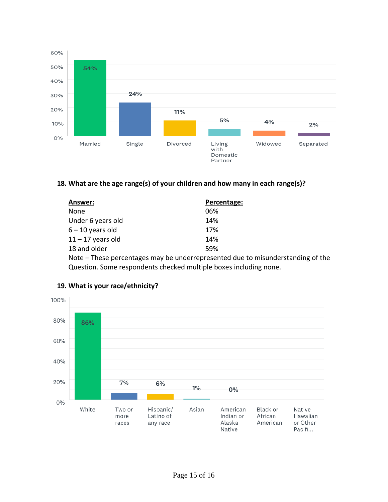

### **18. What are the age range(s) of your children and how many in each range(s)?**

| <b>Answer:</b>      | Percentage:                                                    |
|---------------------|----------------------------------------------------------------|
| None                | 06%                                                            |
| Under 6 years old   | 14%                                                            |
| $6 - 10$ years old  | 17%                                                            |
| $11 - 17$ years old | 14%                                                            |
| 18 and older        | 59%                                                            |
|                     | Note – These percentages may be underrepresented due to misung |

derstanding of the Question. Some respondents checked multiple boxes including none.



### **19. What is your race/ethnicity?**